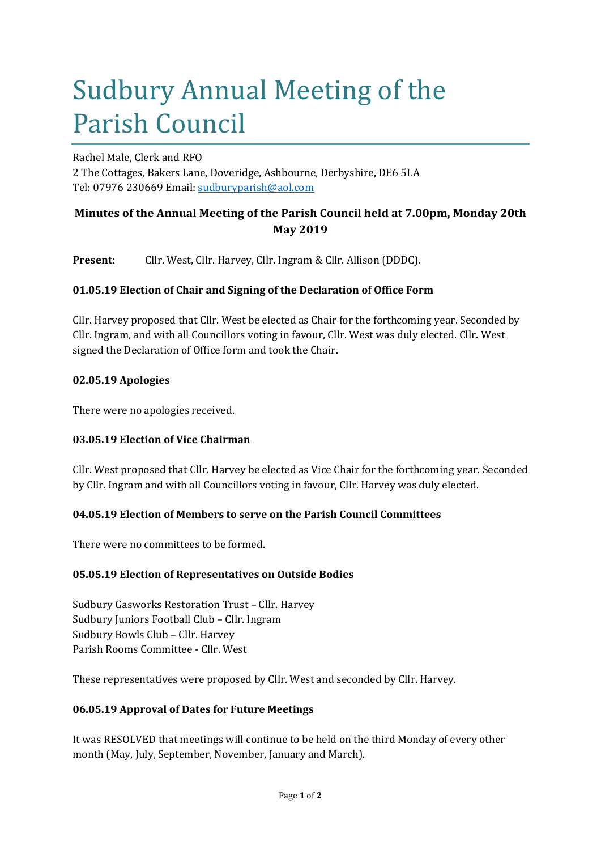# Sudbury Annual Meeting of the Parish Council

Rachel Male, Clerk and RFO 2 The Cottages, Bakers Lane, Doveridge, Ashbourne, Derbyshire, DE6 5LA Tel: 07976 230669 Email: sudburyparish@aol.com

# **Minutes of the Annual Meeting of the Parish Council held at 7.00pm, Monday 20th May 2019**

**Present:** Cllr. West, Cllr. Harvey, Cllr. Ingram & Cllr. Allison (DDDC).

# **01.05.19 Election of Chair and Signing of the Declaration of Office Form**

Cllr. Harvey proposed that Cllr. West be elected as Chair for the forthcoming year. Seconded by Cllr. Ingram, and with all Councillors voting in favour, Cllr. West was duly elected. Cllr. West signed the Declaration of Office form and took the Chair.

## **02.05.19 Apologies**

There were no apologies received.

# **03.05.19 Election of Vice Chairman**

Cllr. West proposed that Cllr. Harvey be elected as Vice Chair for the forthcoming year. Seconded by Cllr. Ingram and with all Councillors voting in favour, Cllr. Harvey was duly elected.

# **04.05.19 Election of Members to serve on the Parish Council Committees**

There were no committees to be formed.

#### **05.05.19 Election of Representatives on Outside Bodies**

Sudbury Gasworks Restoration Trust – Cllr. Harvey Sudbury Juniors Football Club – Cllr. Ingram Sudbury Bowls Club – Cllr. Harvey Parish Rooms Committee - Cllr. West

These representatives were proposed by Cllr. West and seconded by Cllr. Harvey.

#### **06.05.19 Approval of Dates for Future Meetings**

It was RESOLVED that meetings will continue to be held on the third Monday of every other month (May, July, September, November, January and March).